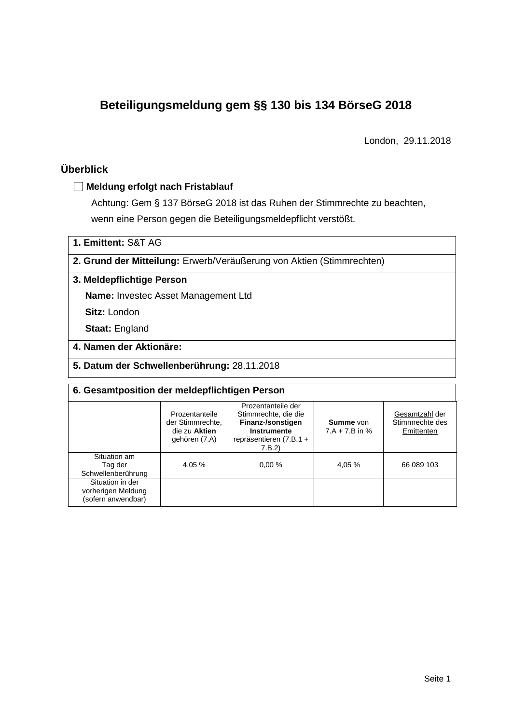# **Beteiligungsmeldung gem §§ 130 bis 134 BörseG 2018**

London, 29.11.2018

## **Überblick**

#### **Meldung erfolgt nach Fristablauf**

Achtung: Gem § 137 BörseG 2018 ist das Ruhen der Stimmrechte zu beachten, wenn eine Person gegen die Beteiligungsmeldepflicht verstößt.

**1. Emittent:** S&T AG

**2. Grund der Mitteilung:** Erwerb/Veräußerung von Aktien (Stimmrechten)

**3. Meldepflichtige Person**

**Name:** Investec Asset Management Ltd

**Sitz:** London

**Staat:** England

- **4. Namen der Aktionäre:**
- **5. Datum der Schwellenberührung:** 28.11.2018

| 6. Gesamtposition der meldepflichtigen Person                |                                                                      |                                                                                                                    |                                      |                                                 |  |  |
|--------------------------------------------------------------|----------------------------------------------------------------------|--------------------------------------------------------------------------------------------------------------------|--------------------------------------|-------------------------------------------------|--|--|
|                                                              | Prozentanteile<br>der Stimmrechte,<br>die zu Aktien<br>gehören (7.A) | Prozentanteile der<br>Stimmrechte, die die<br>Finanz-/sonstigen<br>Instrumente<br>repräsentieren (7.B.1 +<br>7.B.2 | <b>Summe</b> von<br>$7.A + 7.B$ in % | Gesamtzahl der<br>Stimmrechte des<br>Emittenten |  |  |
| Situation am<br>Tag der<br>Schwellenberührung                | 4.05 %                                                               | 0.00%                                                                                                              | 4,05 %                               | 66 089 103                                      |  |  |
| Situation in der<br>vorherigen Meldung<br>(sofern anwendbar) |                                                                      |                                                                                                                    |                                      |                                                 |  |  |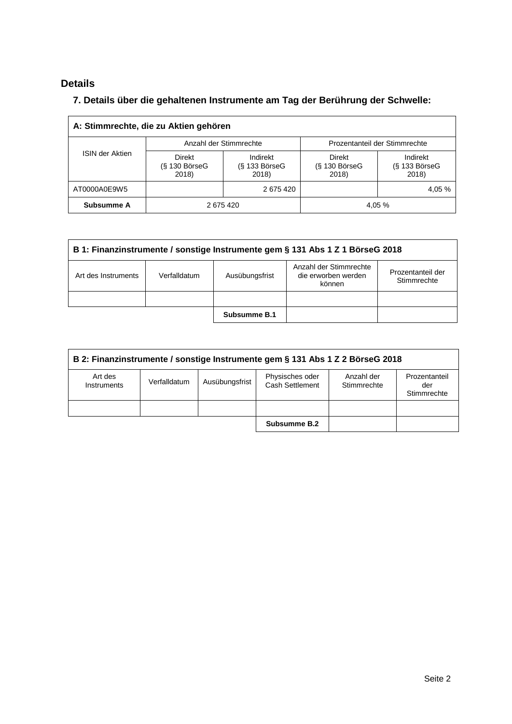## **Details**

### **7. Details über die gehaltenen Instrumente am Tag der Berührung der Schwelle:**

| A: Stimmrechte, die zu Aktien gehören |                                    |                                      |                                    |                                      |  |  |
|---------------------------------------|------------------------------------|--------------------------------------|------------------------------------|--------------------------------------|--|--|
|                                       |                                    | Anzahl der Stimmrechte               | Prozentanteil der Stimmrechte      |                                      |  |  |
| <b>ISIN der Aktien</b>                | Direkt<br>$(S$ 130 BörseG<br>2018) | Indirekt<br>$(S$ 133 BörseG<br>2018) | Direkt<br>$(S$ 130 BörseG<br>2018) | Indirekt<br>$(S$ 133 BörseG<br>2018) |  |  |
| AT0000A0E9W5                          | 2675420                            |                                      | 4,05 %                             |                                      |  |  |
| Subsumme A                            | 2675420                            |                                      |                                    | 4,05 %                               |  |  |

| B 1: Finanzinstrumente / sonstige Instrumente gem § 131 Abs 1 Z 1 BörseG 2018 |              |                                                         |                                  |  |  |
|-------------------------------------------------------------------------------|--------------|---------------------------------------------------------|----------------------------------|--|--|
| Art des Instruments                                                           | Verfalldatum | Anzahl der Stimmrechte<br>die erworben werden<br>können | Prozentanteil der<br>Stimmrechte |  |  |
|                                                                               |              |                                                         |                                  |  |  |
|                                                                               |              | Subsumme B.1                                            |                                  |  |  |

| B 2: Finanzinstrumente / sonstige Instrumente gem § 131 Abs 1 Z 2 BörseG 2018 |              |                |                                    |                           |                                     |  |
|-------------------------------------------------------------------------------|--------------|----------------|------------------------------------|---------------------------|-------------------------------------|--|
| Art des<br>Instruments                                                        | Verfalldatum | Ausübungsfrist | Physisches oder<br>Cash Settlement | Anzahl der<br>Stimmrechte | Prozentanteil<br>der<br>Stimmrechte |  |
|                                                                               |              |                |                                    |                           |                                     |  |
|                                                                               |              |                | Subsumme B.2                       |                           |                                     |  |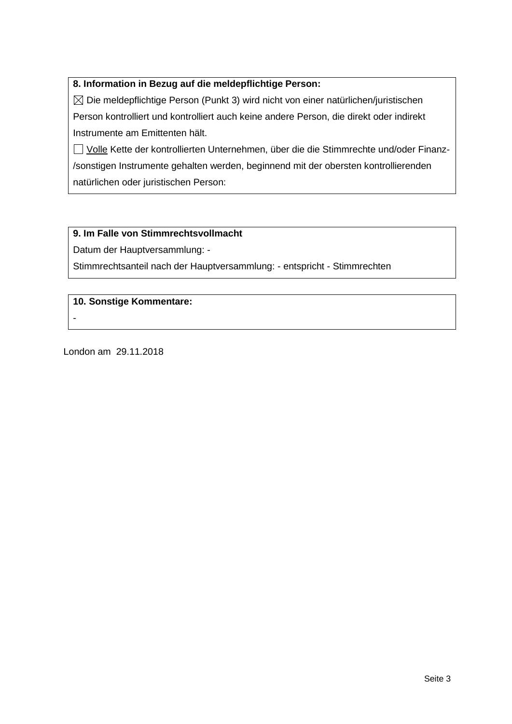#### **8. Information in Bezug auf die meldepflichtige Person:**

 $\boxtimes$  Die meldepflichtige Person (Punkt 3) wird nicht von einer natürlichen/juristischen Person kontrolliert und kontrolliert auch keine andere Person, die direkt oder indirekt Instrumente am Emittenten hält.

□ Volle Kette der kontrollierten Unternehmen, über die die Stimmrechte und/oder Finanz-/sonstigen Instrumente gehalten werden, beginnend mit der obersten kontrollierenden natürlichen oder juristischen Person:

#### **9. Im Falle von Stimmrechtsvollmacht**

Datum der Hauptversammlung: -

Stimmrechtsanteil nach der Hauptversammlung: - entspricht - Stimmrechten

**10. Sonstige Kommentare:**

London am 29.11.2018

-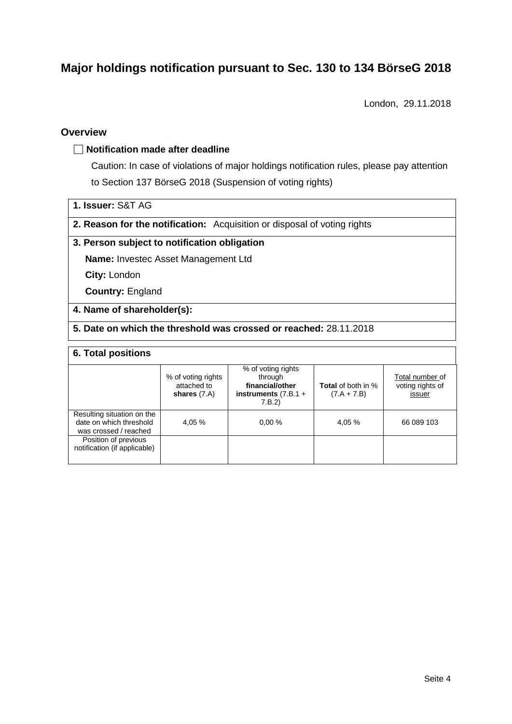# **Major holdings notification pursuant to Sec. 130 to 134 BörseG 2018**

London, 29.11.2018

#### **Overview**

#### **Notification made after deadline**

Caution: In case of violations of major holdings notification rules, please pay attention to Section 137 BörseG 2018 (Suspension of voting rights)

| 1. Issuer: S&T AG |
|-------------------|
|-------------------|

**2. Reason for the notification:** Acquisition or disposal of voting rights

#### **3. Person subject to notification obligation**

**Name:** Investec Asset Management Ltd

**City:** London

**Country:** England

#### **4. Name of shareholder(s):**

**5. Date on which the threshold was crossed or reached:** 28.11.2018

#### **6. Total positions**

|                                                                                | % of voting rights<br>attached to<br>shares $(7.A)$ | % of voting rights<br>through<br>financial/other<br>instruments $(7.B.1 +$<br>7.B.2) | <b>Total</b> of both in %<br>$(7.A + 7.B)$ | Total number of<br>voting rights of<br>issuer |
|--------------------------------------------------------------------------------|-----------------------------------------------------|--------------------------------------------------------------------------------------|--------------------------------------------|-----------------------------------------------|
| Resulting situation on the<br>date on which threshold<br>was crossed / reached | 4.05 %                                              | 0.00%                                                                                | 4.05 %                                     | 66 089 103                                    |
| Position of previous<br>notification (if applicable)                           |                                                     |                                                                                      |                                            |                                               |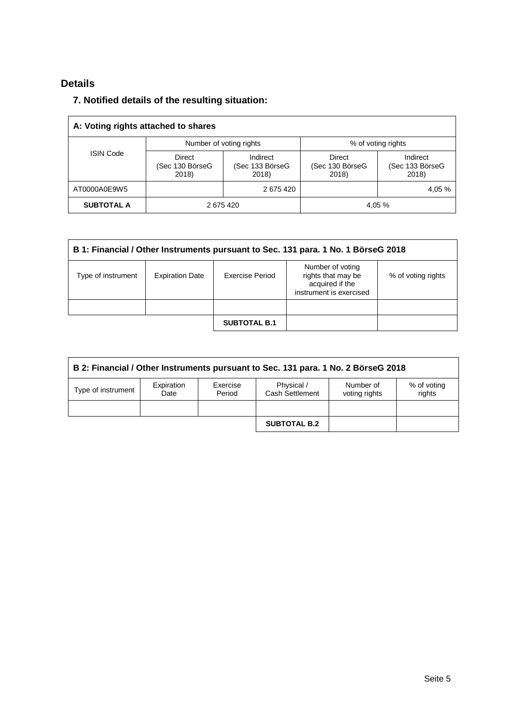## **Details**

### **7. Notified details of the resulting situation:**

| A: Voting rights attached to shares |                                    |                                      |                                    |                                      |  |
|-------------------------------------|------------------------------------|--------------------------------------|------------------------------------|--------------------------------------|--|
|                                     |                                    | Number of voting rights              | % of voting rights                 |                                      |  |
| <b>ISIN Code</b>                    | Direct<br>(Sec 130 BörseG<br>2018) | Indirect<br>(Sec 133 BörseG<br>2018) | Direct<br>(Sec 130 BörseG<br>2018) | Indirect<br>(Sec 133 BörseG<br>2018) |  |
| AT0000A0E9W5                        | 2675420                            |                                      |                                    | 4,05 %                               |  |
| <b>SUBTOTAL A</b>                   | 2675420                            |                                      |                                    | 4,05 %                               |  |

| B 1: Financial / Other Instruments pursuant to Sec. 131 para. 1 No. 1 BörseG 2018 |                        |                     |                                                                                      |                    |  |
|-----------------------------------------------------------------------------------|------------------------|---------------------|--------------------------------------------------------------------------------------|--------------------|--|
| Type of instrument                                                                | <b>Expiration Date</b> | Exercise Period     | Number of voting<br>rights that may be<br>acquired if the<br>instrument is exercised | % of voting rights |  |
|                                                                                   |                        |                     |                                                                                      |                    |  |
|                                                                                   |                        | <b>SUBTOTAL B.1</b> |                                                                                      |                    |  |

| B 2: Financial / Other Instruments pursuant to Sec. 131 para. 1 No. 2 BörseG 2018 |                    |                    |                               |                            |                       |  |
|-----------------------------------------------------------------------------------|--------------------|--------------------|-------------------------------|----------------------------|-----------------------|--|
| Type of instrument                                                                | Expiration<br>Date | Exercise<br>Period | Physical /<br>Cash Settlement | Number of<br>voting rights | % of voting<br>rights |  |
|                                                                                   |                    |                    |                               |                            |                       |  |
|                                                                                   |                    |                    | <b>SUBTOTAL B.2</b>           |                            |                       |  |